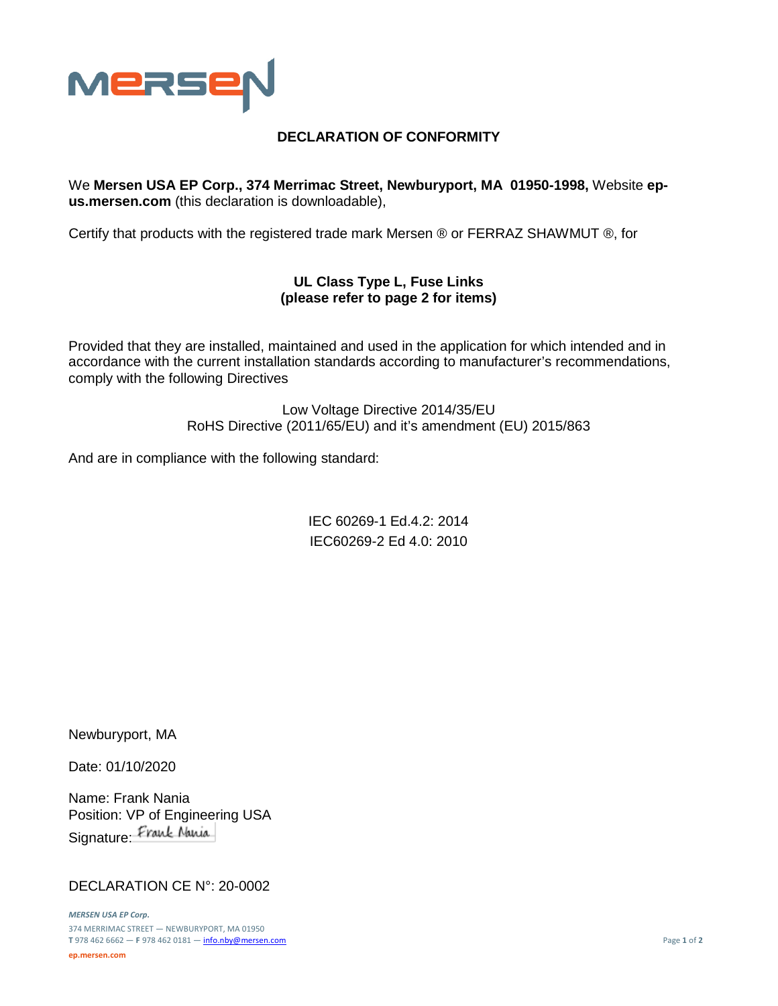

## **DECLARATION OF CONFORMITY**

We **Mersen USA EP Corp., 374 Merrimac Street, Newburyport, MA 01950-1998,** Website **epus.mersen.com** (this declaration is downloadable),

Certify that products with the registered trade mark Mersen ® or FERRAZ SHAWMUT ®, for

## **UL Class Type L, Fuse Links (please refer to page 2 for items)**

Provided that they are installed, maintained and used in the application for which intended and in accordance with the current installation standards according to manufacturer's recommendations, comply with the following Directives

> Low Voltage Directive 2014/35/EU RoHS Directive (2011/65/EU) and it's amendment (EU) 2015/863

And are in compliance with the following standard:

IEC 60269-1 Ed.4.2: 2014 IEC60269-2 Ed 4.0: 2010

Newburyport, MA

Date: 01/10/2020

Name: Frank Nania Position: VP of Engineering USA Signature: Frank Nania

## DECLARATION CE N°: 20-0002

*MERSEN USA EP Corp.* 374 MERRIMAC STREET — NEWBURYPORT, MA 01950 **T** 978 462 6662 — **F** 978 462 0181 — [info.nby@mersen.com](mailto:info.nby@mersen.com) Page **1** of **2 ep.mersen.com**